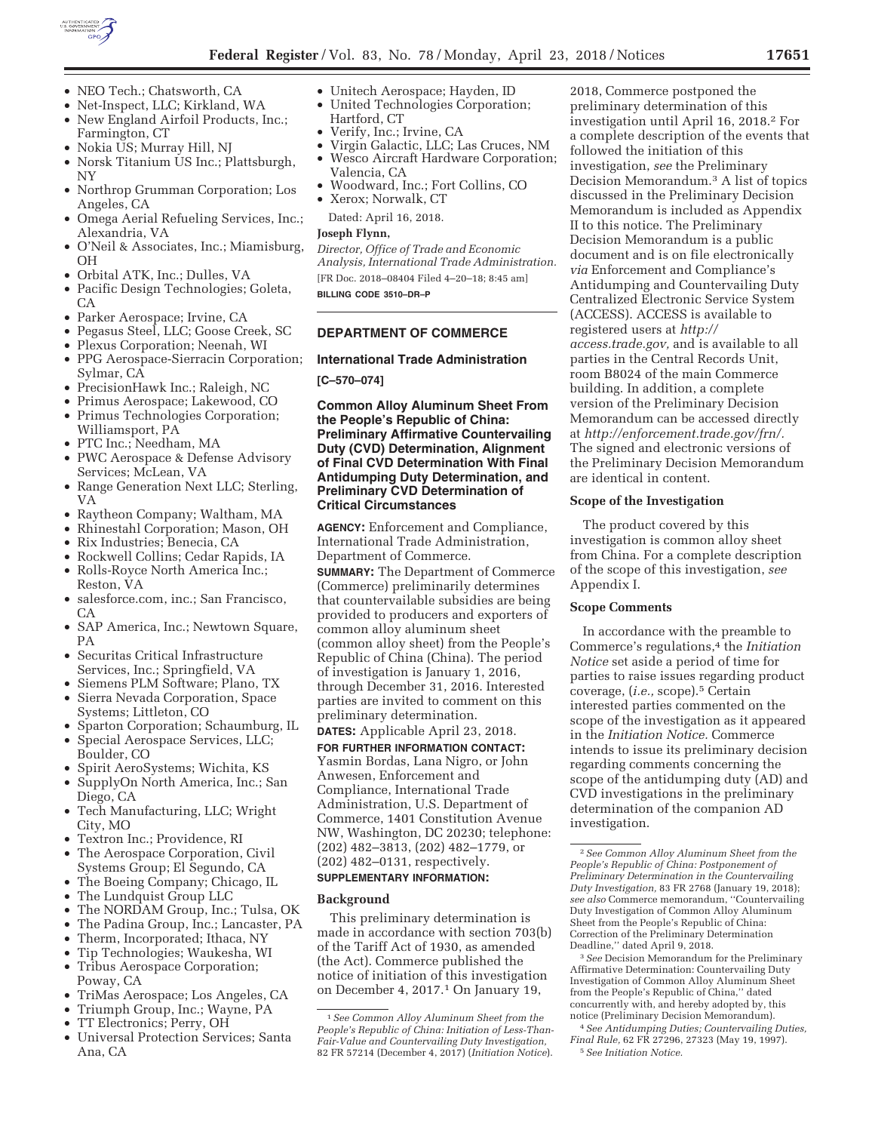

- NEO Tech.; Chatsworth, CA
- Net-Inspect, LLC; Kirkland, WA
- New England Airfoil Products, Inc.; Farmington, CT
- Nokia US; Murray Hill, NJ
- Norsk Titanium US Inc.; Plattsburgh, NY
- Northrop Grumman Corporation; Los Angeles, CA
- Omega Aerial Refueling Services, Inc.; Alexandria, VA
- O'Neil & Associates, Inc.; Miamisburg, OH
- Orbital ATK, Inc.; Dulles, VA
- Pacific Design Technologies; Goleta, CA
- Parker Aerospace; Irvine, CA
- Pegasus Steel, LLC; Goose Creek, SC
- Plexus Corporation; Neenah, WI
- PPG Aerospace-Sierracin Corporation; Sylmar, CA
- PrecisionHawk Inc.; Raleigh, NC
- Primus Aerospace; Lakewood, CO
- Primus Technologies Corporation; Williamsport, PA
- PTC Inc.; Needham, MA
- PWC Aerospace & Defense Advisory Services; McLean, VA
- Range Generation Next LLC; Sterling, VA
- Raytheon Company; Waltham, MA
- Rhinestahl Corporation; Mason, OH
- Rix Industries; Benecia, CA
- Rockwell Collins; Cedar Rapids, IA
- Rolls-Royce North America Inc.; Reston, VA
- salesforce.com, inc.; San Francisco, CA
- SAP America, Inc.; Newtown Square, PA
- Securitas Critical Infrastructure Services, Inc.; Springfield, VA
- Siemens PLM Software; Plano, TX
- Sierra Nevada Corporation, Space Systems; Littleton, CO
- Sparton Corporation; Schaumburg, IL
- Special Aerospace Services, LLC; Boulder, CO
- Spirit AeroSystems; Wichita, KS
- SupplyOn North America, Inc.; San Diego, CA
- Tech Manufacturing, LLC; Wright City, MO
- Textron Inc.; Providence, RI
- The Aerospace Corporation, Civil Systems Group; El Segundo, CA
- The Boeing Company; Chicago, IL
- The Lundquist Group LLC
- The NORDAM Group, Inc.; Tulsa, OK
- The Padina Group, Inc.; Lancaster, PA
- Therm, Incorporated; Ithaca, NY
- Tip Technologies; Waukesha, WI
- Tribus Aerospace Corporation; Poway, CA
- TriMas Aerospace; Los Angeles, CA
- Triumph Group, Inc.; Wayne, PA
- TT Electronics; Perry, OH
- Universal Protection Services; Santa Ana, CA
- Unitech Aerospace; Hayden, ID
	- United Technologies Corporation; Hartford, CT
	- Verify, Inc.; Irvine, CA
	- Virgin Galactic, LLC; Las Cruces, NM
	- Wesco Aircraft Hardware Corporation; Valencia, CA
	- Woodward, Inc.; Fort Collins, CO
	- Xerox; Norwalk, CT

Dated: April 16, 2018.

# **Joseph Flynn,**

*Director, Office of Trade and Economic Analysis, International Trade Administration.*  [FR Doc. 2018–08404 Filed 4–20–18; 8:45 am] **BILLING CODE 3510–DR–P** 

## **DEPARTMENT OF COMMERCE**

#### **International Trade Administration**

**[C–570–074]** 

**Common Alloy Aluminum Sheet From the People's Republic of China: Preliminary Affirmative Countervailing Duty (CVD) Determination, Alignment of Final CVD Determination With Final Antidumping Duty Determination, and Preliminary CVD Determination of Critical Circumstances** 

**AGENCY:** Enforcement and Compliance, International Trade Administration, Department of Commerce.

**SUMMARY:** The Department of Commerce (Commerce) preliminarily determines that countervailable subsidies are being provided to producers and exporters of common alloy aluminum sheet (common alloy sheet) from the People's Republic of China (China). The period of investigation is January 1, 2016, through December 31, 2016. Interested parties are invited to comment on this preliminary determination.

# **DATES:** Applicable April 23, 2018.

**FOR FURTHER INFORMATION CONTACT:**  Yasmin Bordas, Lana Nigro, or John Anwesen, Enforcement and Compliance, International Trade Administration, U.S. Department of Commerce, 1401 Constitution Avenue NW, Washington, DC 20230; telephone: (202) 482–3813, (202) 482–1779, or (202) 482–0131, respectively. **SUPPLEMENTARY INFORMATION:** 

#### **Background**

This preliminary determination is made in accordance with section 703(b) of the Tariff Act of 1930, as amended (the Act). Commerce published the notice of initiation of this investigation on December 4, 2017.<sup>1</sup> On January 19,

2018, Commerce postponed the preliminary determination of this investigation until April 16, 2018.2 For a complete description of the events that followed the initiation of this investigation, *see* the Preliminary Decision Memorandum.3 A list of topics discussed in the Preliminary Decision Memorandum is included as Appendix II to this notice. The Preliminary Decision Memorandum is a public document and is on file electronically *via* Enforcement and Compliance's Antidumping and Countervailing Duty Centralized Electronic Service System (ACCESS). ACCESS is available to registered users at *http:// access.trade.gov,* and is available to all parties in the Central Records Unit, room B8024 of the main Commerce building. In addition, a complete version of the Preliminary Decision Memorandum can be accessed directly at *http://enforcement.trade.gov/frn/.*  The signed and electronic versions of the Preliminary Decision Memorandum are identical in content.

#### **Scope of the Investigation**

The product covered by this investigation is common alloy sheet from China. For a complete description of the scope of this investigation, *see*  Appendix I.

## **Scope Comments**

In accordance with the preamble to Commerce's regulations,4 the *Initiation Notice* set aside a period of time for parties to raise issues regarding product coverage, (*i.e.,* scope).5 Certain interested parties commented on the scope of the investigation as it appeared in the *Initiation Notice.* Commerce intends to issue its preliminary decision regarding comments concerning the scope of the antidumping duty (AD) and CVD investigations in the preliminary determination of the companion AD investigation.

3*See* Decision Memorandum for the Preliminary Affirmative Determination: Countervailing Duty Investigation of Common Alloy Aluminum Sheet from the People's Republic of China,'' dated concurrently with, and hereby adopted by, this notice (Preliminary Decision Memorandum).

4*See Antidumping Duties; Countervailing Duties, Final Rule,* 62 FR 27296, 27323 (May 19, 1997). 5*See Initiation Notice.* 

<sup>1</sup>*See Common Alloy Aluminum Sheet from the People's Republic of China: Initiation of Less-Than-Fair-Value and Countervailing Duty Investigation,*  82 FR 57214 (December 4, 2017) (*Initiation Notice*).

<sup>2</sup>*See Common Alloy Aluminum Sheet from the People's Republic of China: Postponement of Preliminary Determination in the Countervailing Duty Investigation,* 83 FR 2768 (January 19, 2018); *see also* Commerce memorandum, ''Countervailing Duty Investigation of Common Alloy Aluminum Sheet from the People's Republic of China: Correction of the Preliminary Determination Deadline,'' dated April 9, 2018.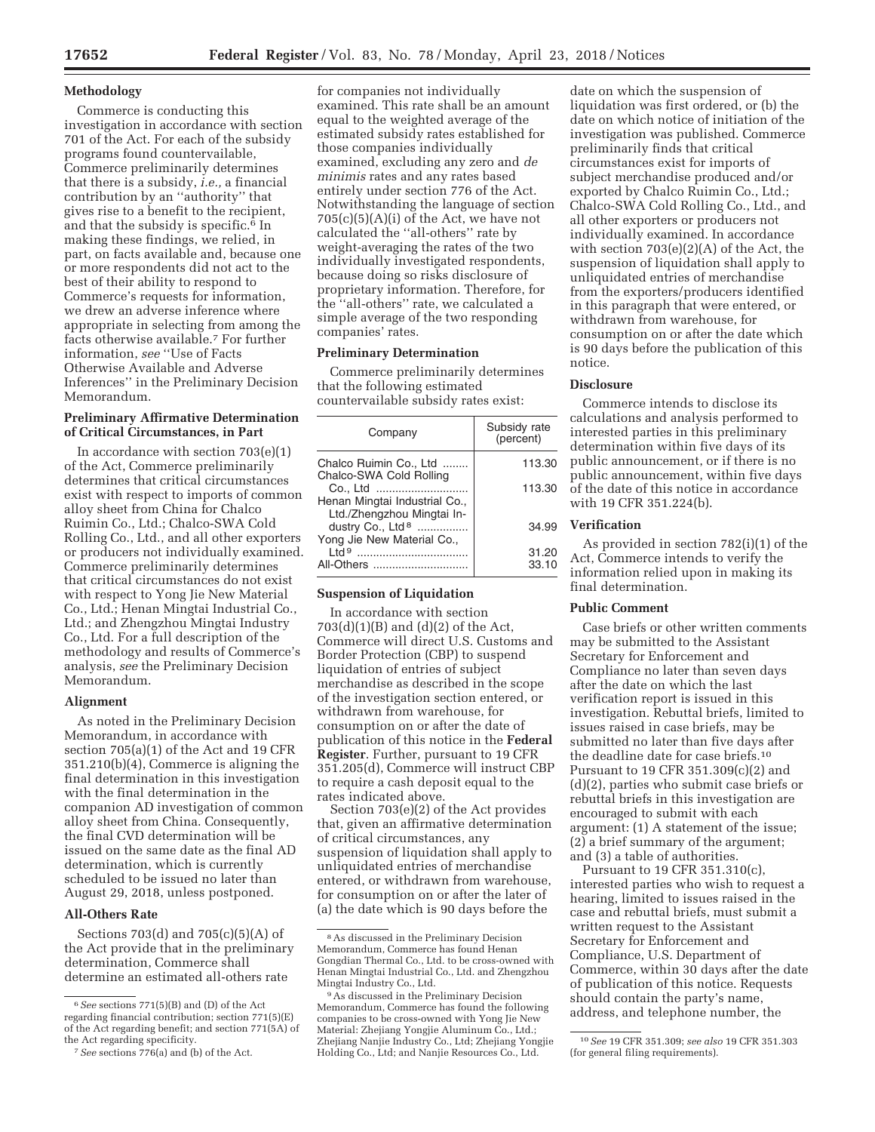## **Methodology**

Commerce is conducting this investigation in accordance with section 701 of the Act. For each of the subsidy programs found countervailable, Commerce preliminarily determines that there is a subsidy, *i.e.,* a financial contribution by an ''authority'' that gives rise to a benefit to the recipient, and that the subsidy is specific.6 In making these findings, we relied, in part, on facts available and, because one or more respondents did not act to the best of their ability to respond to Commerce's requests for information, we drew an adverse inference where appropriate in selecting from among the facts otherwise available.7 For further information, *see* ''Use of Facts Otherwise Available and Adverse Inferences'' in the Preliminary Decision Memorandum.

#### **Preliminary Affirmative Determination of Critical Circumstances, in Part**

In accordance with section  $703(e)(1)$ of the Act, Commerce preliminarily determines that critical circumstances exist with respect to imports of common alloy sheet from China for Chalco Ruimin Co., Ltd.; Chalco-SWA Cold Rolling Co., Ltd., and all other exporters or producers not individually examined. Commerce preliminarily determines that critical circumstances do not exist with respect to Yong Jie New Material Co., Ltd.; Henan Mingtai Industrial Co., Ltd.; and Zhengzhou Mingtai Industry Co., Ltd. For a full description of the methodology and results of Commerce's analysis, *see* the Preliminary Decision Memorandum.

#### **Alignment**

As noted in the Preliminary Decision Memorandum, in accordance with section 705(a)(1) of the Act and 19 CFR 351.210(b)(4), Commerce is aligning the final determination in this investigation with the final determination in the companion AD investigation of common alloy sheet from China. Consequently, the final CVD determination will be issued on the same date as the final AD determination, which is currently scheduled to be issued no later than August 29, 2018, unless postponed.

# **All-Others Rate**

Sections 703(d) and 705(c)(5)(A) of the Act provide that in the preliminary determination, Commerce shall determine an estimated all-others rate

for companies not individually examined. This rate shall be an amount equal to the weighted average of the estimated subsidy rates established for those companies individually examined, excluding any zero and *de minimis* rates and any rates based entirely under section 776 of the Act. Notwithstanding the language of section  $705(c)(5)(A)(i)$  of the Act, we have not calculated the ''all-others'' rate by weight-averaging the rates of the two individually investigated respondents, because doing so risks disclosure of proprietary information. Therefore, for the ''all-others'' rate, we calculated a simple average of the two responding companies' rates.

#### **Preliminary Determination**

Commerce preliminarily determines that the following estimated countervailable subsidy rates exist:

| Company                                                     | Subsidy rate<br>(percent) |
|-------------------------------------------------------------|---------------------------|
| Chalco Ruimin Co., Ltd                                      | 113.30                    |
| Chalco-SWA Cold Rolling<br>Co., Ltd                         | 113.30                    |
| Henan Mingtai Industrial Co.,<br>Ltd./Zhengzhou Mingtai In- |                           |
| dustry Co., Ltd <sup>8</sup>                                | 34.99                     |
| Yong Jie New Material Co.,<br>$P$ ht l                      |                           |
| .                                                           | 31.20                     |
| All-Others                                                  | 33.10                     |

#### **Suspension of Liquidation**

In accordance with section  $703(d)(1)(B)$  and  $(d)(2)$  of the Act, Commerce will direct U.S. Customs and Border Protection (CBP) to suspend liquidation of entries of subject merchandise as described in the scope of the investigation section entered, or withdrawn from warehouse, for consumption on or after the date of publication of this notice in the **Federal Register**. Further, pursuant to 19 CFR 351.205(d), Commerce will instruct CBP to require a cash deposit equal to the rates indicated above.

Section 703(e)(2) of the Act provides that, given an affirmative determination of critical circumstances, any suspension of liquidation shall apply to unliquidated entries of merchandise entered, or withdrawn from warehouse, for consumption on or after the later of (a) the date which is 90 days before the

date on which the suspension of liquidation was first ordered, or (b) the date on which notice of initiation of the investigation was published. Commerce preliminarily finds that critical circumstances exist for imports of subject merchandise produced and/or exported by Chalco Ruimin Co., Ltd.; Chalco-SWA Cold Rolling Co., Ltd., and all other exporters or producers not individually examined. In accordance with section 703(e)(2)(A) of the Act, the suspension of liquidation shall apply to unliquidated entries of merchandise from the exporters/producers identified in this paragraph that were entered, or withdrawn from warehouse, for consumption on or after the date which is 90 days before the publication of this notice.

#### **Disclosure**

Commerce intends to disclose its calculations and analysis performed to interested parties in this preliminary determination within five days of its public announcement, or if there is no public announcement, within five days of the date of this notice in accordance with 19 CFR 351.224(b).

## **Verification**

As provided in section 782(i)(1) of the Act, Commerce intends to verify the information relied upon in making its final determination.

## **Public Comment**

Case briefs or other written comments may be submitted to the Assistant Secretary for Enforcement and Compliance no later than seven days after the date on which the last verification report is issued in this investigation. Rebuttal briefs, limited to issues raised in case briefs, may be submitted no later than five days after the deadline date for case briefs.10 Pursuant to 19 CFR 351.309(c)(2) and (d)(2), parties who submit case briefs or rebuttal briefs in this investigation are encouraged to submit with each argument: (1) A statement of the issue; (2) a brief summary of the argument; and (3) a table of authorities.

Pursuant to 19 CFR 351.310(c), interested parties who wish to request a hearing, limited to issues raised in the case and rebuttal briefs, must submit a written request to the Assistant Secretary for Enforcement and Compliance, U.S. Department of Commerce, within 30 days after the date of publication of this notice. Requests should contain the party's name, address, and telephone number, the

<sup>6</sup>*See* sections 771(5)(B) and (D) of the Act regarding financial contribution; section 771(5)(E) of the Act regarding benefit; and section 771(5A) of the Act regarding specificity.

<sup>7</sup>*See* sections 776(a) and (b) of the Act.

<sup>8</sup>As discussed in the Preliminary Decision Memorandum, Commerce has found Henan Gongdian Thermal Co., Ltd. to be cross-owned with Henan Mingtai Industrial Co., Ltd. and Zhengzhou Mingtai Industry Co., Ltd.

<sup>9</sup>As discussed in the Preliminary Decision Memorandum, Commerce has found the following companies to be cross-owned with Yong Jie New Material: Zhejiang Yongjie Aluminum Co., Ltd.; Zhejiang Nanjie Industry Co., Ltd; Zhejiang Yongjie Holding Co., Ltd; and Nanjie Resources Co., Ltd.

<sup>10</sup>*See* 19 CFR 351.309; *see also* 19 CFR 351.303 (for general filing requirements).